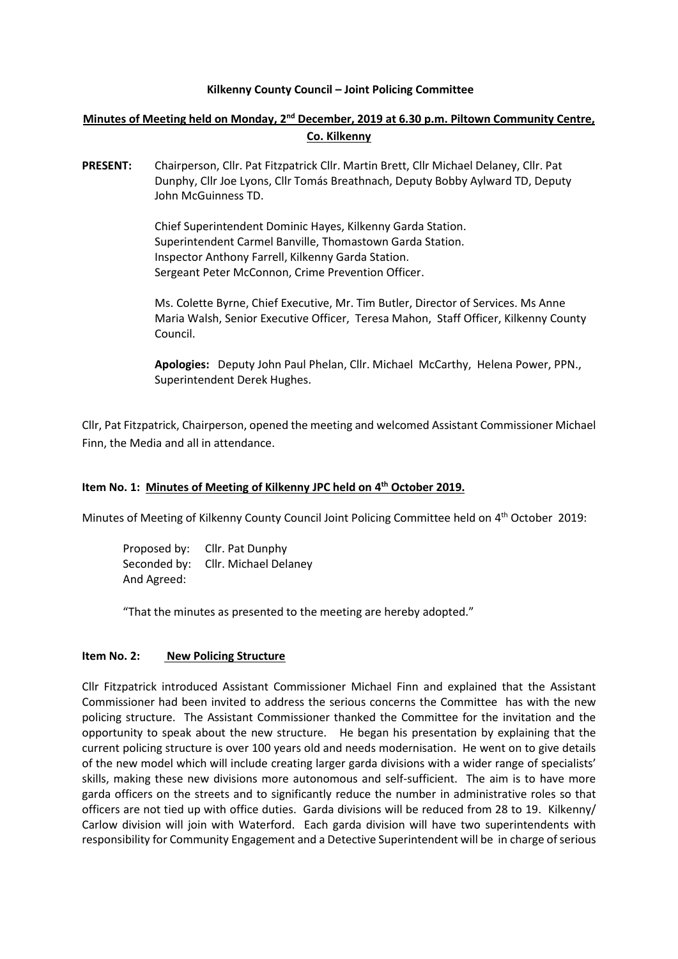### **Kilkenny County Council – Joint Policing Committee**

# **Minutes of Meeting held on Monday, 2<sup>nd</sup> December, 2019 at 6.30 p.m. Piltown Community Centre, Co. Kilkenny**

**PRESENT:** Chairperson, Cllr. Pat Fitzpatrick Cllr. Martin Brett, Cllr Michael Delaney, Cllr. Pat Dunphy, Cllr Joe Lyons, Cllr Tomás Breathnach, Deputy Bobby Aylward TD, Deputy John McGuinness TD.

> Chief Superintendent Dominic Hayes, Kilkenny Garda Station. Superintendent Carmel Banville, Thomastown Garda Station. Inspector Anthony Farrell, Kilkenny Garda Station. Sergeant Peter McConnon, Crime Prevention Officer.

Ms. Colette Byrne, Chief Executive, Mr. Tim Butler, Director of Services. Ms Anne Maria Walsh, Senior Executive Officer, Teresa Mahon, Staff Officer, Kilkenny County Council.

**Apologies:** Deputy John Paul Phelan, Cllr. Michael McCarthy, Helena Power, PPN., Superintendent Derek Hughes.

Cllr, Pat Fitzpatrick, Chairperson, opened the meeting and welcomed Assistant Commissioner Michael Finn, the Media and all in attendance.

# **Item No. 1: Minutes of Meeting of Kilkenny JPC held on 4 th October 2019.**

Minutes of Meeting of Kilkenny County Council Joint Policing Committee held on 4<sup>th</sup> October 2019:

Proposed by: Cllr. Pat Dunphy Seconded by: Cllr. Michael Delaney And Agreed:

"That the minutes as presented to the meeting are hereby adopted."

#### **Item No. 2: New Policing Structure**

Cllr Fitzpatrick introduced Assistant Commissioner Michael Finn and explained that the Assistant Commissioner had been invited to address the serious concerns the Committee has with the new policing structure. The Assistant Commissioner thanked the Committee for the invitation and the opportunity to speak about the new structure. He began his presentation by explaining that the current policing structure is over 100 years old and needs modernisation. He went on to give details of the new model which will include creating larger garda divisions with a wider range of specialists' skills, making these new divisions more autonomous and self-sufficient. The aim is to have more garda officers on the streets and to significantly reduce the number in administrative roles so that officers are not tied up with office duties. Garda divisions will be reduced from 28 to 19. Kilkenny/ Carlow division will join with Waterford. Each garda division will have two superintendents with responsibility for Community Engagement and a Detective Superintendent will be in charge of serious